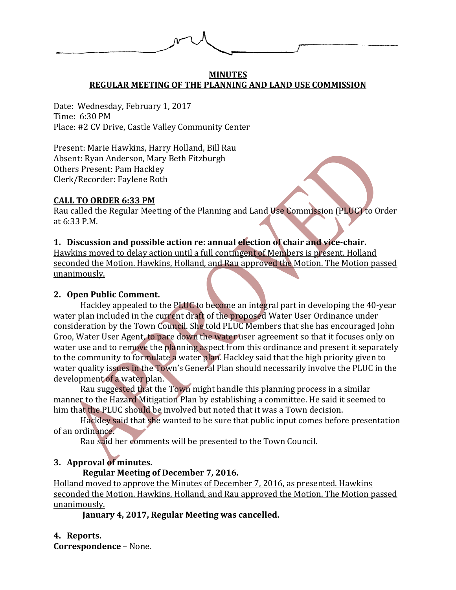

#### **MINUTES REGULAR MEETING OF THE PLANNING AND LAND USE COMMISSION**

Date: Wednesday, February 1, 2017 Time: 6:30 PM Place: #2 CV Drive, Castle Valley Community Center

Present: Marie Hawkins, Harry Holland, Bill Rau Absent: Ryan Anderson, Mary Beth Fitzburgh Others Present: Pam Hackley Clerk/Recorder: Faylene Roth

#### **CALL TO ORDER 6:33 PM**

Rau called the Regular Meeting of the Planning and Land Use Commission (PLUC) to Order at 6:33 P.M.

### **1. Discussion and possible action re: annual election of chair and vice-chair.**

Hawkins moved to delay action until a full contingent of Members is present. Holland seconded the Motion. Hawkins, Holland, and Rau approved the Motion. The Motion passed unanimously.

#### **2. Open Public Comment.**

Hackley appealed to the PLUC to become an integral part in developing the 40-year water plan included in the current draft of the proposed Water User Ordinance under consideration by the Town Council. She told PLUC Members that she has encouraged John Groo, Water User Agent, to pare down the water user agreement so that it focuses only on water use and to remove the planning aspect from this ordinance and present it separately to the community to formulate a water plan. Hackley said that the high priority given to water quality issues in the Town's General Plan should necessarily involve the PLUC in the development of a water plan.

Rau suggested that the Town might handle this planning process in a similar manner to the Hazard Mitigation Plan by establishing a committee. He said it seemed to him that the PLUC should be involved but noted that it was a Town decision.

Hackley said that she wanted to be sure that public input comes before presentation of an ordinance.

Rau said her comments will be presented to the Town Council.

### **3. Approval of minutes.**

### **Regular Meeting of December 7, 2016.**

Holland moved to approve the Minutes of December 7, 2016, as presented. Hawkins seconded the Motion. Hawkins, Holland, and Rau approved the Motion. The Motion passed unanimously.

**January 4, 2017, Regular Meeting was cancelled.** 

### **4. Reports.**

**Correspondence** – None.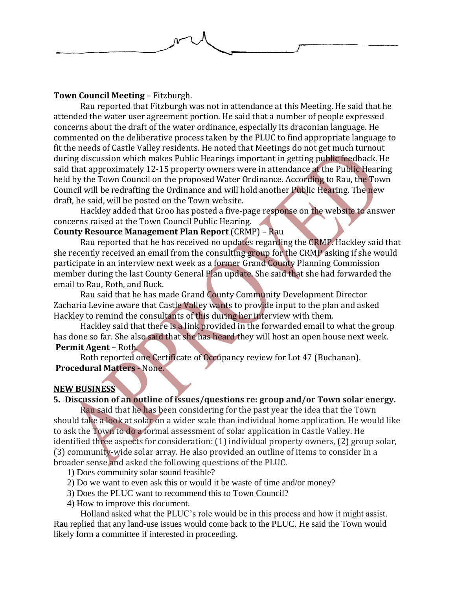

Rau reported that Fitzburgh was not in attendance at this Meeting. He said that he attended the water user agreement portion. He said that a number of people expressed concerns about the draft of the water ordinance, especially its draconian language. He commented on the deliberative process taken by the PLUC to find appropriate language to fit the needs of Castle Valley residents. He noted that Meetings do not get much turnout during discussion which makes Public Hearings important in getting public feedback. He said that approximately 12-15 property owners were in attendance at the Public Hearing held by the Town Council on the proposed Water Ordinance. According to Rau, the Town Council will be redrafting the Ordinance and will hold another Public Hearing. The new draft, he said, will be posted on the Town website.

Hackley added that Groo has posted a five-page response on the website to answer concerns raised at the Town Council Public Hearing.

## **County Resource Management Plan Report** (CRMP) – Rau

Rau reported that he has received no updates regarding the CRMP. Hackley said that she recently received an email from the consulting group for the CRMP asking if she would participate in an interview next week as a former Grand County Planning Commission member during the last County General Plan update. She said that she had forwarded the email to Rau, Roth, and Buck.

Rau said that he has made Grand County Community Development Director Zacharia Levine aware that Castle Valley wants to provide input to the plan and asked Hackley to remind the consultants of this during her interview with them.

Hackley said that there is a link provided in the forwarded email to what the group has done so far. She also said that she has heard they will host an open house next week. **Permit Agent** – Roth.

Roth reported one Certificate of Occupancy review for Lot 47 (Buchanan). **Procedural Matters** - None.

# **NEW BUSINESS**

# **5. Discussion of an outline of issues/questions re: group and/or Town solar energy.**

Rau said that he has been considering for the past year the idea that the Town should take a look at solar on a wider scale than individual home application. He would like to ask the Town to do a formal assessment of solar application in Castle Valley. He identified three aspects for consideration: (1) individual property owners, (2) group solar, (3) community-wide solar array. He also provided an outline of items to consider in a broader sense and asked the following questions of the PLUC.

1) Does community solar sound feasible?

- 2) Do we want to even ask this or would it be waste of time and/or money?
- 3) Does the PLUC want to recommend this to Town Council?
- 4) How to improve this document.

Holland asked what the PLUC's role would be in this process and how it might assist. Rau replied that any land-use issues would come back to the PLUC. He said the Town would likely form a committee if interested in proceeding.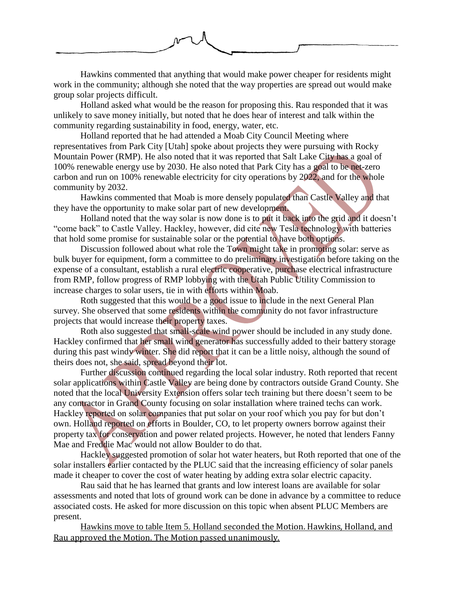

Hawkins commented that anything that would make power cheaper for residents might work in the community; although she noted that the way properties are spread out would make group solar projects difficult.

Holland asked what would be the reason for proposing this. Rau responded that it was unlikely to save money initially, but noted that he does hear of interest and talk within the community regarding sustainability in food, energy, water, etc.

Holland reported that he had attended a Moab City Council Meeting where representatives from Park City [Utah] spoke about projects they were pursuing with Rocky Mountain Power (RMP). He also noted that it was reported that Salt Lake City has a goal of 100% renewable energy use by 2030. He also noted that Park City has a goal to be net-zero carbon and run on 100% renewable electricity for city operations by 2022, and for the whole community by 2032.

Hawkins commented that Moab is more densely populated than Castle Valley and that they have the opportunity to make solar part of new development.

Holland noted that the way solar is now done is to put it back into the grid and it doesn't "come back" to Castle Valley. Hackley, however, did cite new Tesla technology with batteries that hold some promise for sustainable solar or the potential to have both options.

Discussion followed about what role the Town might take in promoting solar: serve as bulk buyer for equipment, form a committee to do preliminary investigation before taking on the expense of a consultant, establish a rural electric cooperative, purchase electrical infrastructure from RMP, follow progress of RMP lobbying with the Utah Public Utility Commission to increase charges to solar users, tie in with efforts within Moab.

Roth suggested that this would be a good issue to include in the next General Plan survey. She observed that some residents within the community do not favor infrastructure projects that would increase their property taxes.

Roth also suggested that small-scale wind power should be included in any study done. Hackley confirmed that her small wind generator has successfully added to their battery storage during this past windy winter. She did report that it can be a little noisy, although the sound of theirs does not, she said, spread beyond their lot.

Further discussion continued regarding the local solar industry. Roth reported that recent solar applications within Castle Valley are being done by contractors outside Grand County. She noted that the local University Extension offers solar tech training but there doesn't seem to be any contractor in Grand County focusing on solar installation where trained techs can work. Hackley reported on solar companies that put solar on your roof which you pay for but don't own. Holland reported on efforts in Boulder, CO, to let property owners borrow against their property tax for conservation and power related projects. However, he noted that lenders Fanny Mae and Freddie Mac would not allow Boulder to do that.

Hackley suggested promotion of solar hot water heaters, but Roth reported that one of the solar installers earlier contacted by the PLUC said that the increasing efficiency of solar panels made it cheaper to cover the cost of water heating by adding extra solar electric capacity.

Rau said that he has learned that grants and low interest loans are available for solar assessments and noted that lots of ground work can be done in advance by a committee to reduce associated costs. He asked for more discussion on this topic when absent PLUC Members are present.

Hawkins move to table Item 5. Holland seconded the Motion. Hawkins, Holland, and Rau approved the Motion. The Motion passed unanimously.